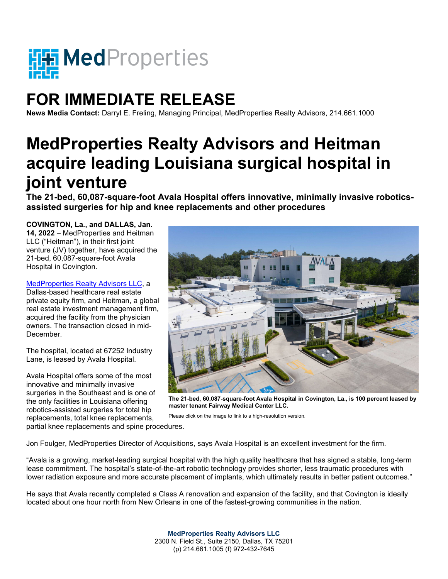

## **FOR IMMEDIATE RELEASE**

**News Media Contact:** Darryl E. Freling, Managing Principal, MedProperties Realty Advisors, 214.661.1000

## **MedProperties Realty Advisors and Heitman acquire leading Louisiana surgical hospital in joint venture**

**The 21-bed, 60,087-square-foot Avala Hospital offers innovative, minimally invasive roboticsassisted surgeries for hip and knee replacements and other procedures** 

**COVINGTON, La., and DALLAS, Jan. 14, 2022** – MedProperties and Heitman LLC ("Heitman"), in their first joint venture (JV) together, have acquired the 21-bed, 60,087-square-foot Avala Hospital in Covington.

[MedProperties Realty Advisors](http://medpropertieslp.com/) LLC, a Dallas-based healthcare real estate private equity firm, and Heitman, a global real estate investment management firm, acquired the facility from the physician owners. The transaction closed in mid-December.

The hospital, located at 67252 Industry Lane, is leased by Avala Hospital.

Avala Hospital offers some of the most innovative and minimally invasive surgeries in the Southeast and is one of the only facilities in Louisiana offering robotics-assisted surgeries for total hip replacements, total knee replacements,



**The 21-bed, 60,087-square-foot Avala Hospital in Covington, La., is 100 percent leased by master tenant Fairway Medical Center LLC.** 

Please click on the image to link to a high-resolution version.

partial knee replacements and spine procedures.

Jon Foulger, MedProperties Director of Acquisitions, says Avala Hospital is an excellent investment for the firm.

"Avala is a growing, market-leading surgical hospital with the high quality healthcare that has signed a stable, long-term lease commitment. The hospital's state-of-the-art robotic technology provides shorter, less traumatic procedures with lower radiation exposure and more accurate placement of implants, which ultimately results in better patient outcomes."

He says that Avala recently completed a Class A renovation and expansion of the facility, and that Covington is ideally located about one hour north from New Orleans in one of the fastest-growing communities in the nation.